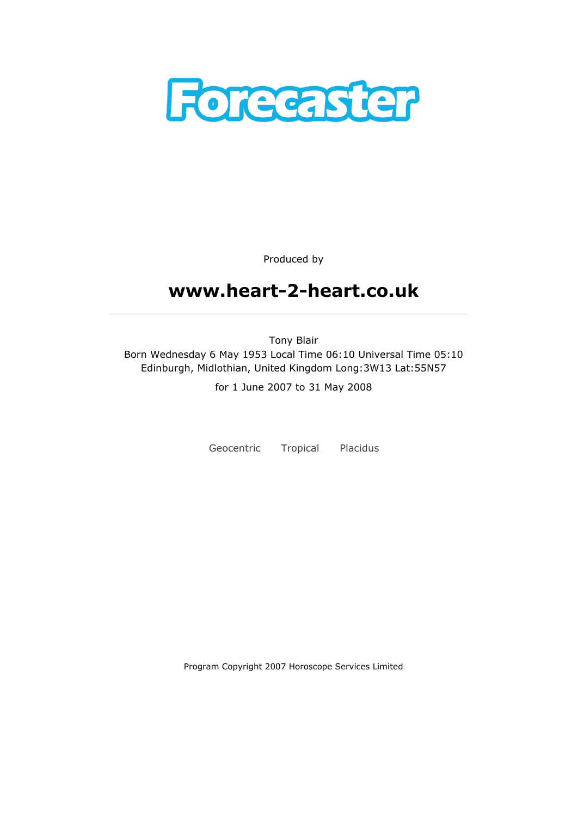

Produced by

# www.heart-2-heart.co.uk

Tony Blair Born Wednesday 6 May 1953 Local Time 06:10 Universal Time 05:10 Edinburgh, Midlothian, United Kingdom Long:3W13 Lat:55N57

for 1 June 2007 to 31 May 2008

Geocentric Tropical Placidus

Program Copyright 2007 Horoscope Services Limited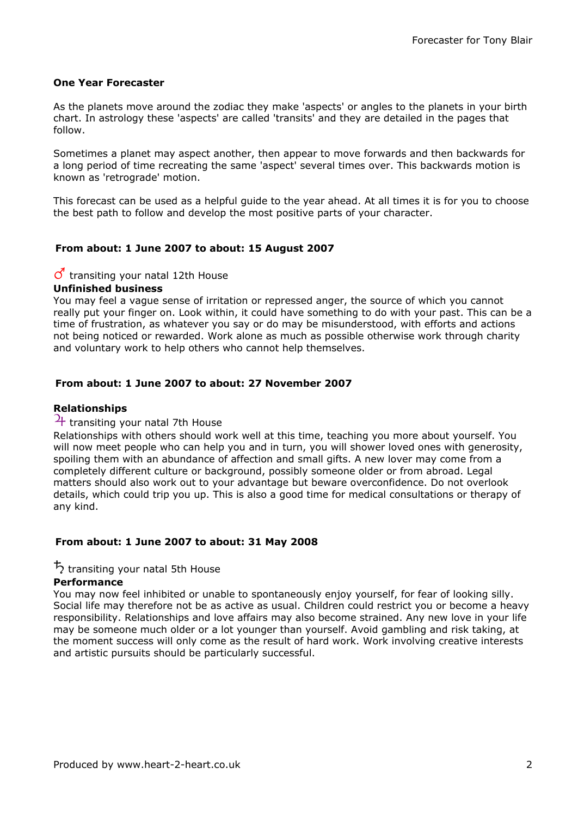#### One Year Forecaster

As the planets move around the zodiac they make 'aspects' or angles to the planets in your birth chart. In astrology these 'aspects' are called 'transits' and they are detailed in the pages that follow.

Sometimes a planet may aspect another, then appear to move forwards and then backwards for a long period of time recreating the same 'aspect' several times over. This backwards motion is known as 'retrograde' motion.

This forecast can be used as a helpful guide to the year ahead. At all times it is for you to choose the best path to follow and develop the most positive parts of your character.

## From about: 1 June 2007 to about: 15 August 2007

## $\sigma$  transiting your natal 12th House

#### Unfinished business

You may feel a vague sense of irritation or repressed anger, the source of which you cannot really put your finger on. Look within, it could have something to do with your past. This can be a time of frustration, as whatever you say or do may be misunderstood, with efforts and actions not being noticed or rewarded. Work alone as much as possible otherwise work through charity and voluntary work to help others who cannot help themselves.

## From about: 1 June 2007 to about: 27 November 2007

#### Relationships

## $\frac{1}{1}$  transiting your natal 7th House

Relationships with others should work well at this time, teaching you more about yourself. You will now meet people who can help you and in turn, you will shower loved ones with generosity, spoiling them with an abundance of affection and small gifts. A new lover may come from a completely different culture or background, possibly someone older or from abroad. Legal matters should also work out to your advantage but beware overconfidence. Do not overlook details, which could trip you up. This is also a good time for medical consultations or therapy of any kind.

#### From about: 1 June 2007 to about: 31 May 2008

## $\frac{1}{2}$  transiting your natal 5th House

#### **Performance**

You may now feel inhibited or unable to spontaneously enjoy yourself, for fear of looking silly. Social life may therefore not be as active as usual. Children could restrict you or become a heavy responsibility. Relationships and love affairs may also become strained. Any new love in your life may be someone much older or a lot younger than yourself. Avoid gambling and risk taking, at the moment success will only come as the result of hard work. Work involving creative interests and artistic pursuits should be particularly successful.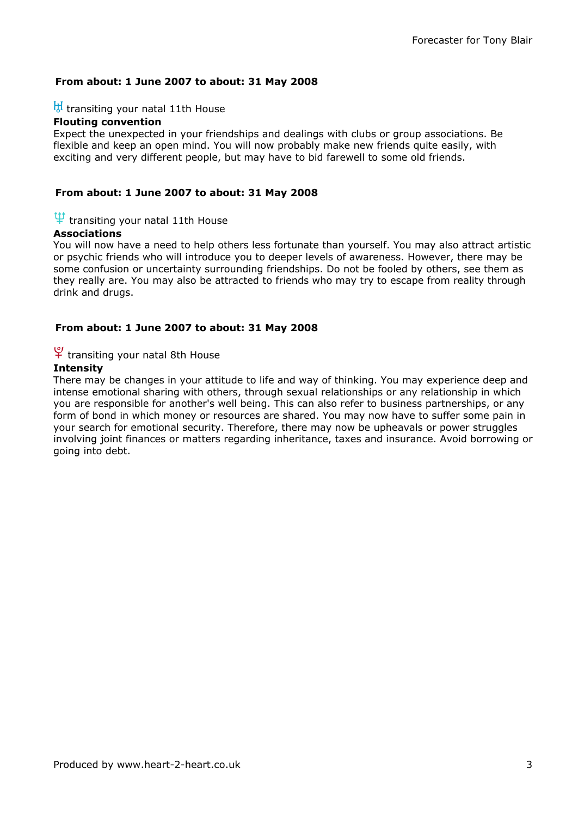#### From about: 1 June 2007 to about: 31 May 2008

## $\frac{H}{d}$  transiting your natal 11th House

## Flouting convention

Expect the unexpected in your friendships and dealings with clubs or group associations. Be flexible and keep an open mind. You will now probably make new friends quite easily, with exciting and very different people, but may have to bid farewell to some old friends.

#### From about: 1 June 2007 to about: 31 May 2008

## $\Psi$  transiting your natal 11th House

#### Associations

You will now have a need to help others less fortunate than yourself. You may also attract artistic or psychic friends who will introduce you to deeper levels of awareness. However, there may be some confusion or uncertainty surrounding friendships. Do not be fooled by others, see them as they really are. You may also be attracted to friends who may try to escape from reality through drink and drugs.

#### From about: 1 June 2007 to about: 31 May 2008

## $\frac{10}{11}$  transiting your natal 8th House

#### **Intensity**

There may be changes in your attitude to life and way of thinking. You may experience deep and intense emotional sharing with others, through sexual relationships or any relationship in which you are responsible for another's well being. This can also refer to business partnerships, or any form of bond in which money or resources are shared. You may now have to suffer some pain in your search for emotional security. Therefore, there may now be upheavals or power struggles involving joint finances or matters regarding inheritance, taxes and insurance. Avoid borrowing or going into debt.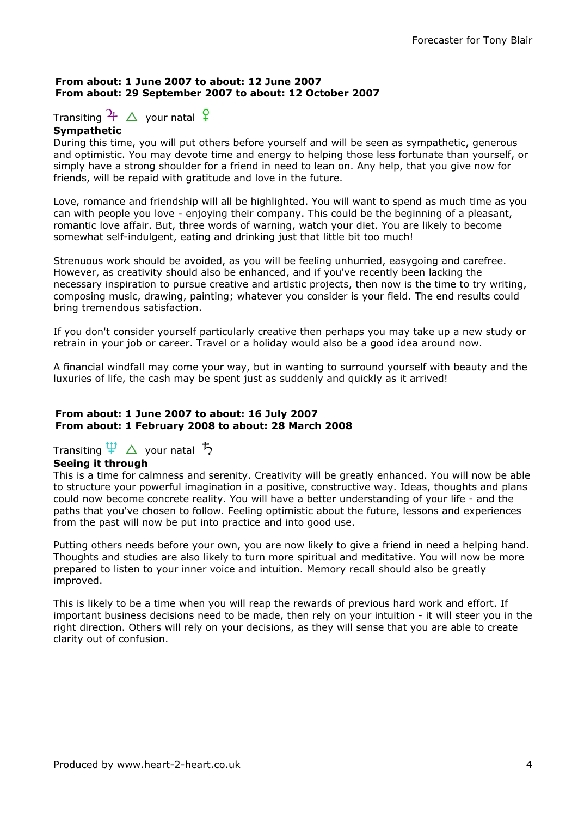#### From about: 1 June 2007 to about: 12 June 2007 From about: 29 September 2007 to about: 12 October 2007

Transiting  $\frac{1}{4}$   $\Delta$  your natal  $\frac{1}{4}$ 

#### **Sympathetic**

During this time, you will put others before yourself and will be seen as sympathetic, generous and optimistic. You may devote time and energy to helping those less fortunate than yourself, or simply have a strong shoulder for a friend in need to lean on. Any help, that you give now for friends, will be repaid with gratitude and love in the future.

Love, romance and friendship will all be highlighted. You will want to spend as much time as you can with people you love - enjoying their company. This could be the beginning of a pleasant, romantic love affair. But, three words of warning, watch your diet. You are likely to become somewhat self-indulgent, eating and drinking just that little bit too much!

Strenuous work should be avoided, as you will be feeling unhurried, easygoing and carefree. However, as creativity should also be enhanced, and if you've recently been lacking the necessary inspiration to pursue creative and artistic projects, then now is the time to try writing, composing music, drawing, painting; whatever you consider is your field. The end results could bring tremendous satisfaction.

If you don't consider yourself particularly creative then perhaps you may take up a new study or retrain in your job or career. Travel or a holiday would also be a good idea around now.

A financial windfall may come your way, but in wanting to surround yourself with beauty and the luxuries of life, the cash may be spent just as suddenly and quickly as it arrived!

#### From about: 1 June 2007 to about: 16 July 2007 From about: 1 February 2008 to about: 28 March 2008

## Transiting  $\Psi \Delta$  your natal  $\bar{\mathcal{D}}$

## Seeing it through

This is a time for calmness and serenity. Creativity will be greatly enhanced. You will now be able to structure your powerful imagination in a positive, constructive way. Ideas, thoughts and plans could now become concrete reality. You will have a better understanding of your life - and the paths that you've chosen to follow. Feeling optimistic about the future, lessons and experiences from the past will now be put into practice and into good use.

Putting others needs before your own, you are now likely to give a friend in need a helping hand. Thoughts and studies are also likely to turn more spiritual and meditative. You will now be more prepared to listen to your inner voice and intuition. Memory recall should also be greatly improved.

This is likely to be a time when you will reap the rewards of previous hard work and effort. If important business decisions need to be made, then rely on your intuition - it will steer you in the right direction. Others will rely on your decisions, as they will sense that you are able to create clarity out of confusion.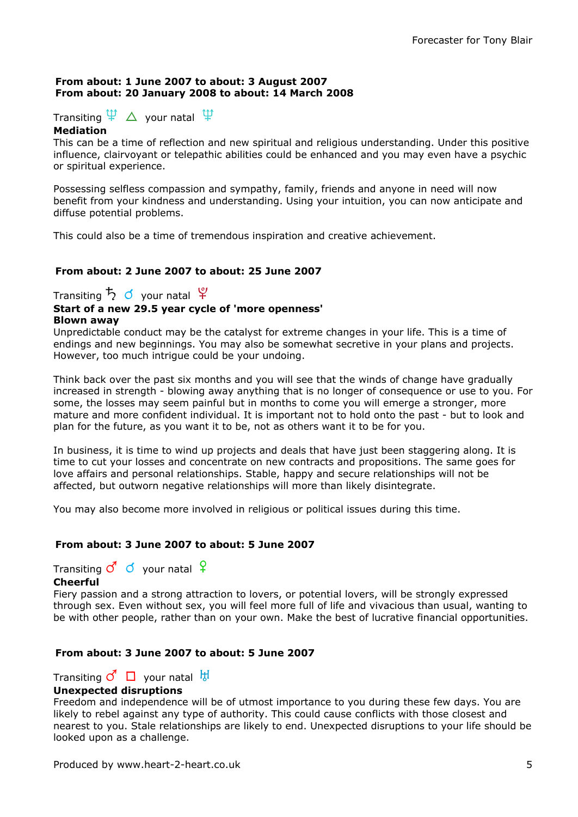#### From about: 1 June 2007 to about: 3 August 2007 From about: 20 January 2008 to about: 14 March 2008

Transiting  $\Psi \Delta$  your natal  $\Psi$ 

#### Mediation

This can be a time of reflection and new spiritual and religious understanding. Under this positive influence, clairvoyant or telepathic abilities could be enhanced and you may even have a psychic or spiritual experience.

Possessing selfless compassion and sympathy, family, friends and anyone in need will now benefit from your kindness and understanding. Using your intuition, you can now anticipate and diffuse potential problems.

This could also be a time of tremendous inspiration and creative achievement.

## From about: 2 June 2007 to about: 25 June 2007

Transiting  $\frac{1}{2}$   $\sigma$  your natal  $\frac{10}{10}$ 

#### Start of a new 29.5 year cycle of 'more openness' Blown away

Unpredictable conduct may be the catalyst for extreme changes in your life. This is a time of endings and new beginnings. You may also be somewhat secretive in your plans and projects. However, too much intrigue could be your undoing.

Think back over the past six months and you will see that the winds of change have gradually increased in strength - blowing away anything that is no longer of consequence or use to you. For some, the losses may seem painful but in months to come you will emerge a stronger, more mature and more confident individual. It is important not to hold onto the past - but to look and plan for the future, as you want it to be, not as others want it to be for you.

In business, it is time to wind up projects and deals that have just been staggering along. It is time to cut your losses and concentrate on new contracts and propositions. The same goes for love affairs and personal relationships. Stable, happy and secure relationships will not be affected, but outworn negative relationships will more than likely disintegrate.

You may also become more involved in religious or political issues during this time.

## From about: 3 June 2007 to about: 5 June 2007

Transiting  $\mathcal{O}$  of your natal  $\varphi$ 

## Cheerful

Fiery passion and a strong attraction to lovers, or potential lovers, will be strongly expressed through sex. Even without sex, you will feel more full of life and vivacious than usual, wanting to be with other people, rather than on your own. Make the best of lucrative financial opportunities.

## From about: 3 June 2007 to about: 5 June 2007

Transiting  $\vec{C}$   $\Box$  your natal  $\frac{111}{100}$ 

#### Unexpected disruptions

Freedom and independence will be of utmost importance to you during these few days. You are likely to rebel against any type of authority. This could cause conflicts with those closest and nearest to you. Stale relationships are likely to end. Unexpected disruptions to your life should be looked upon as a challenge.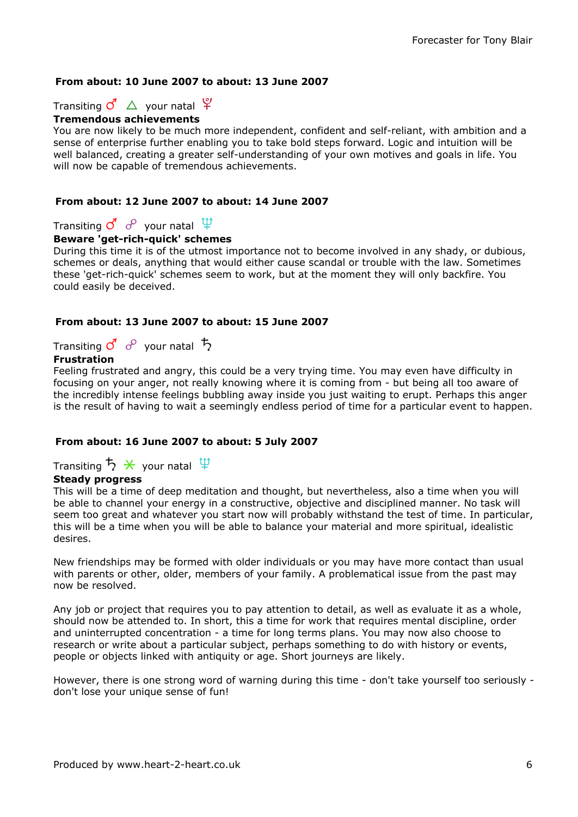## From about: 10 June 2007 to about: 13 June 2007

Transiting  $\overline{C}$   $\Delta$  your natal  $\overline{Y}$ 

## Tremendous achievements

You are now likely to be much more independent, confident and self-reliant, with ambition and a sense of enterprise further enabling you to take bold steps forward. Logic and intuition will be well balanced, creating a greater self-understanding of your own motives and goals in life. You will now be capable of tremendous achievements.

#### From about: 12 June 2007 to about: 14 June 2007

Transiting  $\overline{O}$  o<sup>o</sup> your natal  $\overline{\Psi}$ 

#### Beware 'get-rich-quick' schemes

During this time it is of the utmost importance not to become involved in any shady, or dubious, schemes or deals, anything that would either cause scandal or trouble with the law. Sometimes these 'get-rich-quick' schemes seem to work, but at the moment they will only backfire. You could easily be deceived.

#### From about: 13 June 2007 to about: 15 June 2007

Transiting  $\vec{Q}$   $\vec{e}$  your natal  $\vec{B}$ 

## Frustration

Feeling frustrated and angry, this could be a very trying time. You may even have difficulty in focusing on your anger, not really knowing where it is coming from - but being all too aware of the incredibly intense feelings bubbling away inside you just waiting to erupt. Perhaps this anger is the result of having to wait a seemingly endless period of time for a particular event to happen.

## From about: 16 June 2007 to about: 5 July 2007

Transiting  $5 \times$  your natal  $\overline{\Psi}$ 

## Steady progress

This will be a time of deep meditation and thought, but nevertheless, also a time when you will be able to channel your energy in a constructive, objective and disciplined manner. No task will seem too great and whatever you start now will probably withstand the test of time. In particular, this will be a time when you will be able to balance your material and more spiritual, idealistic desires.

New friendships may be formed with older individuals or you may have more contact than usual with parents or other, older, members of your family. A problematical issue from the past may now be resolved.

Any job or project that requires you to pay attention to detail, as well as evaluate it as a whole, should now be attended to. In short, this a time for work that requires mental discipline, order and uninterrupted concentration - a time for long terms plans. You may now also choose to research or write about a particular subject, perhaps something to do with history or events, people or objects linked with antiquity or age. Short journeys are likely.

However, there is one strong word of warning during this time - don't take yourself too seriously don't lose your unique sense of fun!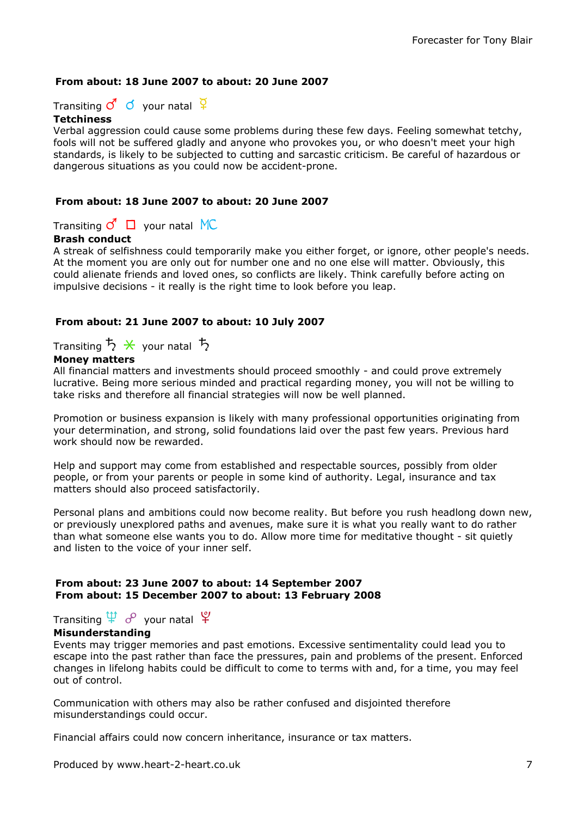## From about: 18 June 2007 to about: 20 June 2007

Transiting  $\vec{Q}$  o your natal  $\vec{q}$ 

#### **Tetchiness**

Verbal aggression could cause some problems during these few days. Feeling somewhat tetchy, fools will not be suffered gladly and anyone who provokes you, or who doesn't meet your high standards, is likely to be subjected to cutting and sarcastic criticism. Be careful of hazardous or dangerous situations as you could now be accident-prone.

#### From about: 18 June 2007 to about: 20 June 2007

Transiting  $\vec{C}$   $\Box$  your natal MC

## Brash conduct

A streak of selfishness could temporarily make you either forget, or ignore, other people's needs. At the moment you are only out for number one and no one else will matter. Obviously, this could alienate friends and loved ones, so conflicts are likely. Think carefully before acting on impulsive decisions - it really is the right time to look before you leap.

#### From about: 21 June 2007 to about: 10 July 2007

Transiting  $\overline{5}$   $\overline{\mathsf{X}}$  your natal  $\overline{5}$ 

#### Money matters

All financial matters and investments should proceed smoothly - and could prove extremely lucrative. Being more serious minded and practical regarding money, you will not be willing to take risks and therefore all financial strategies will now be well planned.

Promotion or business expansion is likely with many professional opportunities originating from your determination, and strong, solid foundations laid over the past few years. Previous hard work should now be rewarded.

Help and support may come from established and respectable sources, possibly from older people, or from your parents or people in some kind of authority. Legal, insurance and tax matters should also proceed satisfactorily.

Personal plans and ambitions could now become reality. But before you rush headlong down new, or previously unexplored paths and avenues, make sure it is what you really want to do rather than what someone else wants you to do. Allow more time for meditative thought - sit quietly and listen to the voice of your inner self.

#### From about: 23 June 2007 to about: 14 September 2007 From about: 15 December 2007 to about: 13 February 2008

# Transiting  $\overleftrightarrow{\Psi}$  o<sup>o</sup> your natal  $\overleftrightarrow{\Psi}$

#### Misunderstanding

Events may trigger memories and past emotions. Excessive sentimentality could lead you to escape into the past rather than face the pressures, pain and problems of the present. Enforced changes in lifelong habits could be difficult to come to terms with and, for a time, you may feel out of control.

Communication with others may also be rather confused and disjointed therefore misunderstandings could occur.

Financial affairs could now concern inheritance, insurance or tax matters.

Produced by www.heart-2-heart.co.uk 7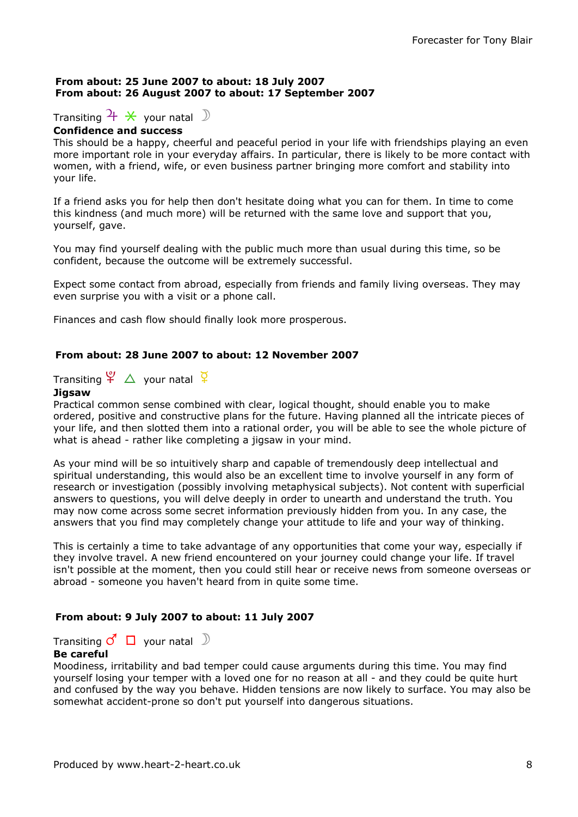#### From about: 25 June 2007 to about: 18 July 2007 From about: 26 August 2007 to about: 17 September 2007

# Transiting  $\frac{1}{\lambda}$   $\frac{1}{\lambda}$  your natal  $\frac{1}{\lambda}$

## Confidence and success

This should be a happy, cheerful and peaceful period in your life with friendships playing an even more important role in your everyday affairs. In particular, there is likely to be more contact with women, with a friend, wife, or even business partner bringing more comfort and stability into your life.

If a friend asks you for help then don't hesitate doing what you can for them. In time to come this kindness (and much more) will be returned with the same love and support that you, yourself, gave.

You may find yourself dealing with the public much more than usual during this time, so be confident, because the outcome will be extremely successful.

Expect some contact from abroad, especially from friends and family living overseas. They may even surprise you with a visit or a phone call.

Finances and cash flow should finally look more prosperous.

## From about: 28 June 2007 to about: 12 November 2007

Transiting  $\frac{\varphi}{\Delta}$  your natal  $\frac{\varphi}{\varphi}$ 

#### Jigsaw

Practical common sense combined with clear, logical thought, should enable you to make ordered, positive and constructive plans for the future. Having planned all the intricate pieces of your life, and then slotted them into a rational order, you will be able to see the whole picture of what is ahead - rather like completing a jigsaw in your mind.

As your mind will be so intuitively sharp and capable of tremendously deep intellectual and spiritual understanding, this would also be an excellent time to involve yourself in any form of research or investigation (possibly involving metaphysical subjects). Not content with superficial answers to questions, you will delve deeply in order to unearth and understand the truth. You may now come across some secret information previously hidden from you. In any case, the answers that you find may completely change your attitude to life and your way of thinking.

This is certainly a time to take advantage of any opportunities that come your way, especially if they involve travel. A new friend encountered on your journey could change your life. If travel isn't possible at the moment, then you could still hear or receive news from someone overseas or abroad - someone you haven't heard from in quite some time.

#### From about: 9 July 2007 to about: 11 July 2007

Transiting  $\vec{C}$   $\Box$  your natal  $\Box$ 

#### Be careful

Moodiness, irritability and bad temper could cause arguments during this time. You may find yourself losing your temper with a loved one for no reason at all - and they could be quite hurt and confused by the way you behave. Hidden tensions are now likely to surface. You may also be somewhat accident-prone so don't put yourself into dangerous situations.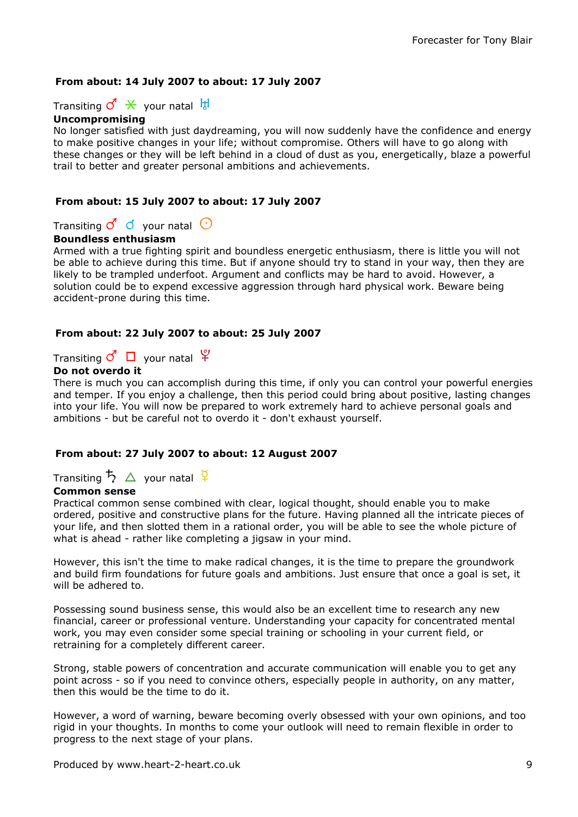## From about: 14 July 2007 to about: 17 July 2007

Transiting  $\vec{C} \times \text{your natal } \frac{11}{10}$ 

## Uncompromising

No longer satisfied with just daydreaming, you will now suddenly have the confidence and energy to make positive changes in your life; without compromise. Others will have to go along with these changes or they will be left behind in a cloud of dust as you, energetically, blaze a powerful trail to better and greater personal ambitions and achievements.

#### From about: 15 July 2007 to about: 17 July 2007

Transiting  $\mathcal{O}'$   $\phi$  your natal  $\Theta$ 

#### Boundless enthusiasm

Armed with a true fighting spirit and boundless energetic enthusiasm, there is little you will not be able to achieve during this time. But if anyone should try to stand in your way, then they are likely to be trampled underfoot. Argument and conflicts may be hard to avoid. However, a solution could be to expend excessive aggression through hard physical work. Beware being accident-prone during this time.

#### From about: 22 July 2007 to about: 25 July 2007

Transiting  $\vec{C}$   $\Box$  your natal  $\vec{Y}$ 

#### Do not overdo it

There is much you can accomplish during this time, if only you can control your powerful energies and temper. If you enjoy a challenge, then this period could bring about positive, lasting changes into your life. You will now be prepared to work extremely hard to achieve personal goals and ambitions - but be careful not to overdo it - don't exhaust yourself.

#### From about: 27 July 2007 to about: 12 August 2007

Transiting  $\frac{1}{2}$   $\Delta$  your natal  $\frac{1}{2}$ 

#### Common sense

Practical common sense combined with clear, logical thought, should enable you to make ordered, positive and constructive plans for the future. Having planned all the intricate pieces of your life, and then slotted them in a rational order, you will be able to see the whole picture of what is ahead - rather like completing a jigsaw in your mind.

However, this isn't the time to make radical changes, it is the time to prepare the groundwork and build firm foundations for future goals and ambitions. Just ensure that once a goal is set, it will be adhered to.

Possessing sound business sense, this would also be an excellent time to research any new financial, career or professional venture. Understanding your capacity for concentrated mental work, you may even consider some special training or schooling in your current field, or retraining for a completely different career.

Strong, stable powers of concentration and accurate communication will enable you to get any point across - so if you need to convince others, especially people in authority, on any matter, then this would be the time to do it.

However, a word of warning, beware becoming overly obsessed with your own opinions, and too rigid in your thoughts. In months to come your outlook will need to remain flexible in order to progress to the next stage of your plans.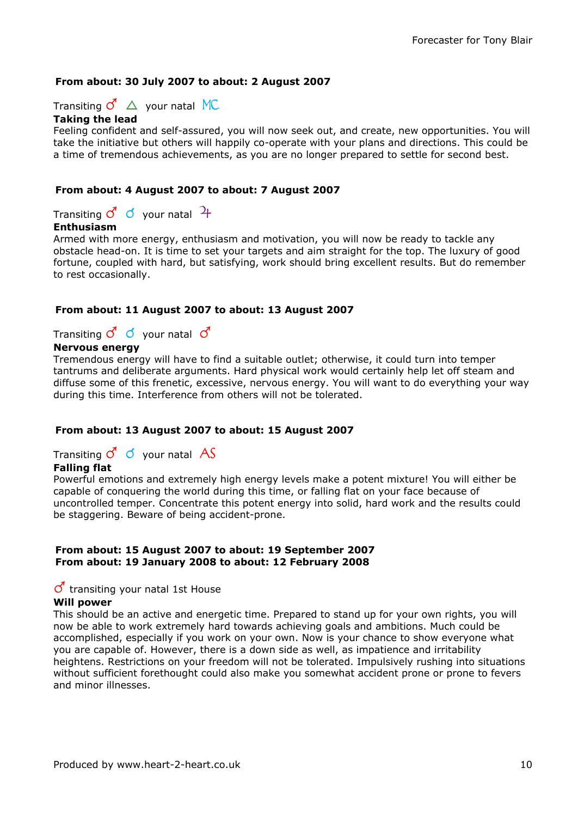## From about: 30 July 2007 to about: 2 August 2007

Transiting  $\vec{C}$   $\Delta$  your natal MC Taking the lead

Feeling confident and self-assured, you will now seek out, and create, new opportunities. You will take the initiative but others will happily co-operate with your plans and directions. This could be a time of tremendous achievements, as you are no longer prepared to settle for second best.

#### From about: 4 August 2007 to about: 7 August 2007

Transiting  $\sigma$   $\sigma$  your natal  $\mathcal{H}$ 

#### Enthusiasm

Armed with more energy, enthusiasm and motivation, you will now be ready to tackle any obstacle head-on. It is time to set your targets and aim straight for the top. The luxury of good fortune, coupled with hard, but satisfying, work should bring excellent results. But do remember to rest occasionally.

#### From about: 11 August 2007 to about: 13 August 2007

Transiting  $\vec{Q}$   $\vec{Q}$  your natal  $\vec{Q}$ 

## Nervous energy

Tremendous energy will have to find a suitable outlet; otherwise, it could turn into temper tantrums and deliberate arguments. Hard physical work would certainly help let off steam and diffuse some of this frenetic, excessive, nervous energy. You will want to do everything your way during this time. Interference from others will not be tolerated.

## From about: 13 August 2007 to about: 15 August 2007

Transiting  $\sigma$   $\sigma$  your natal AS

## Falling flat

Powerful emotions and extremely high energy levels make a potent mixture! You will either be capable of conquering the world during this time, or falling flat on your face because of uncontrolled temper. Concentrate this potent energy into solid, hard work and the results could be staggering. Beware of being accident-prone.

#### From about: 15 August 2007 to about: 19 September 2007 From about: 19 January 2008 to about: 12 February 2008

#### $\sigma$  transiting your natal 1st House Will power

This should be an active and energetic time. Prepared to stand up for your own rights, you will now be able to work extremely hard towards achieving goals and ambitions. Much could be accomplished, especially if you work on your own. Now is your chance to show everyone what you are capable of. However, there is a down side as well, as impatience and irritability heightens. Restrictions on your freedom will not be tolerated. Impulsively rushing into situations without sufficient forethought could also make you somewhat accident prone or prone to fevers and minor illnesses.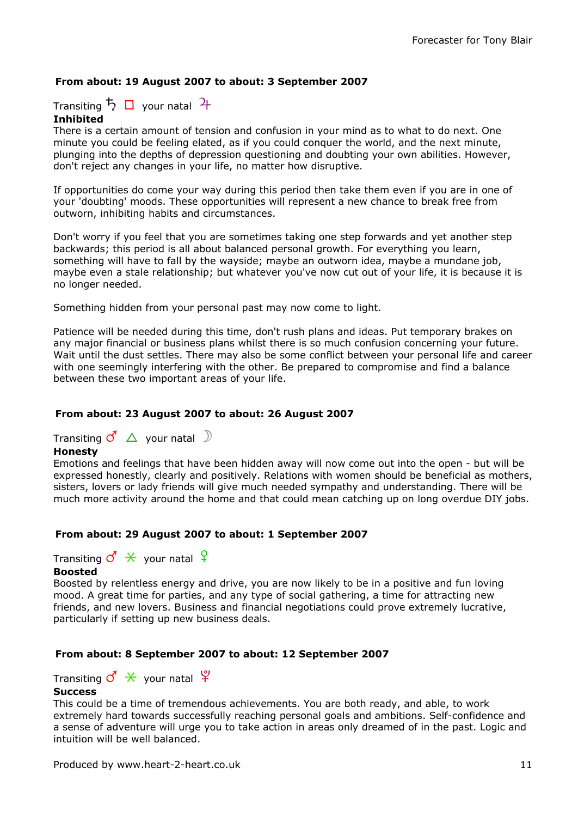## From about: 19 August 2007 to about: 3 September 2007

Transiting  $\frac{1}{2}$   $\Box$  your natal  $\frac{1}{4}$ 

## Inhibited

There is a certain amount of tension and confusion in your mind as to what to do next. One minute you could be feeling elated, as if you could conquer the world, and the next minute, plunging into the depths of depression questioning and doubting your own abilities. However, don't reject any changes in your life, no matter how disruptive.

If opportunities do come your way during this period then take them even if you are in one of your 'doubting' moods. These opportunities will represent a new chance to break free from outworn, inhibiting habits and circumstances.

Don't worry if you feel that you are sometimes taking one step forwards and yet another step backwards; this period is all about balanced personal growth. For everything you learn, something will have to fall by the wayside; maybe an outworn idea, maybe a mundane job, maybe even a stale relationship; but whatever you've now cut out of your life, it is because it is no longer needed.

Something hidden from your personal past may now come to light.

Patience will be needed during this time, don't rush plans and ideas. Put temporary brakes on any major financial or business plans whilst there is so much confusion concerning your future. Wait until the dust settles. There may also be some conflict between your personal life and career with one seemingly interfering with the other. Be prepared to compromise and find a balance between these two important areas of your life.

## From about: 23 August 2007 to about: 26 August 2007

Transiting  $\vec{c}$   $\Delta$  your natal  $\Im$ 

#### Honesty

Emotions and feelings that have been hidden away will now come out into the open - but will be expressed honestly, clearly and positively. Relations with women should be beneficial as mothers, sisters, lovers or lady friends will give much needed sympathy and understanding. There will be much more activity around the home and that could mean catching up on long overdue DIY jobs.

## From about: 29 August 2007 to about: 1 September 2007

Transiting  $\sigma^{\prime} \times$  your natal  $\varphi$ 

#### Boosted

Boosted by relentless energy and drive, you are now likely to be in a positive and fun loving mood. A great time for parties, and any type of social gathering, a time for attracting new friends, and new lovers. Business and financial negotiations could prove extremely lucrative, particularly if setting up new business deals.

## From about: 8 September 2007 to about: 12 September 2007

Transiting  $\vec{c} \times \vec{c}$  your natal  $\vec{r}$ 

#### **Success**

This could be a time of tremendous achievements. You are both ready, and able, to work extremely hard towards successfully reaching personal goals and ambitions. Self-confidence and a sense of adventure will urge you to take action in areas only dreamed of in the past. Logic and intuition will be well balanced.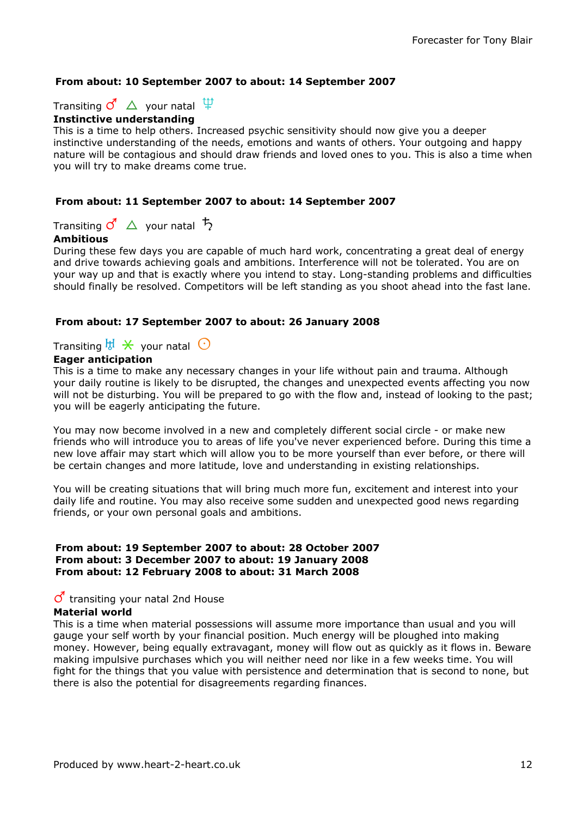## From about: 10 September 2007 to about: 14 September 2007

Transiting  $\vec{c}$   $\Delta$  your natal  $\hat{P}$ 



This is a time to help others. Increased psychic sensitivity should now give you a deeper instinctive understanding of the needs, emotions and wants of others. Your outgoing and happy nature will be contagious and should draw friends and loved ones to you. This is also a time when you will try to make dreams come true.

## From about: 11 September 2007 to about: 14 September 2007

Transiting  $\vec{c}$   $\Delta$  your natal  $\vec{b}$ 

## Ambitious

During these few days you are capable of much hard work, concentrating a great deal of energy and drive towards achieving goals and ambitions. Interference will not be tolerated. You are on your way up and that is exactly where you intend to stay. Long-standing problems and difficulties should finally be resolved. Competitors will be left standing as you shoot ahead into the fast lane.

## From about: 17 September 2007 to about: 26 January 2008

Transiting  $\mathbb{H} \times$  your natal  $\mathbb{C}$ 

## Eager anticipation

This is a time to make any necessary changes in your life without pain and trauma. Although your daily routine is likely to be disrupted, the changes and unexpected events affecting you now will not be disturbing. You will be prepared to go with the flow and, instead of looking to the past; you will be eagerly anticipating the future.

You may now become involved in a new and completely different social circle - or make new friends who will introduce you to areas of life you've never experienced before. During this time a new love affair may start which will allow you to be more yourself than ever before, or there will be certain changes and more latitude, love and understanding in existing relationships.

You will be creating situations that will bring much more fun, excitement and interest into your daily life and routine. You may also receive some sudden and unexpected good news regarding friends, or your own personal goals and ambitions.

#### From about: 19 September 2007 to about: 28 October 2007 From about: 3 December 2007 to about: 19 January 2008 From about: 12 February 2008 to about: 31 March 2008

## $\sigma$  transiting your natal 2nd House

## Material world

This is a time when material possessions will assume more importance than usual and you will gauge your self worth by your financial position. Much energy will be ploughed into making money. However, being equally extravagant, money will flow out as quickly as it flows in. Beware making impulsive purchases which you will neither need nor like in a few weeks time. You will fight for the things that you value with persistence and determination that is second to none, but there is also the potential for disagreements regarding finances.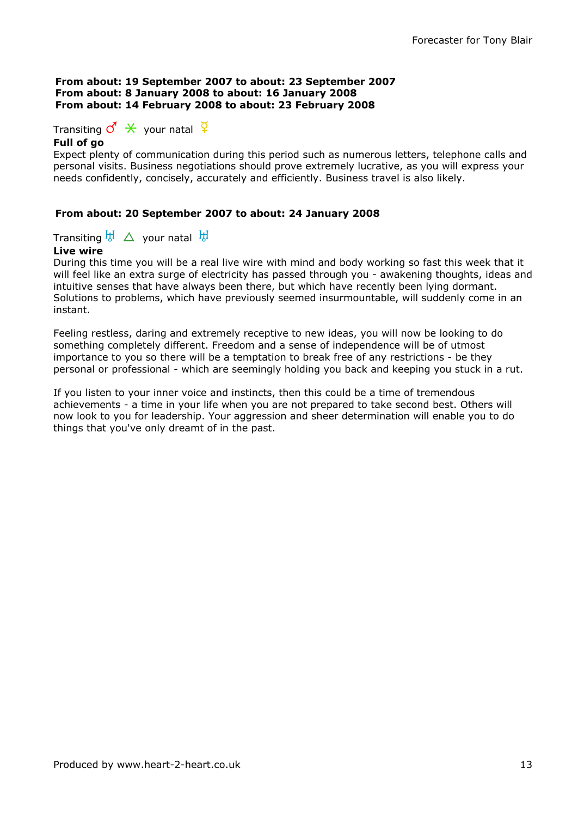#### From about: 19 September 2007 to about: 23 September 2007 From about: 8 January 2008 to about: 16 January 2008 From about: 14 February 2008 to about: 23 February 2008

Transiting  $\sigma \times$  your natal  $\frac{a}{b}$ 

## Full of go

Expect plenty of communication during this period such as numerous letters, telephone calls and personal visits. Business negotiations should prove extremely lucrative, as you will express your needs confidently, concisely, accurately and efficiently. Business travel is also likely.

## From about: 20 September 2007 to about: 24 January 2008

Transiting  $\overline{b}$   $\overline{b}$   $\Delta$  your natal  $\overline{b}$ 

## Live wire

During this time you will be a real live wire with mind and body working so fast this week that it will feel like an extra surge of electricity has passed through you - awakening thoughts, ideas and intuitive senses that have always been there, but which have recently been lying dormant. Solutions to problems, which have previously seemed insurmountable, will suddenly come in an instant.

Feeling restless, daring and extremely receptive to new ideas, you will now be looking to do something completely different. Freedom and a sense of independence will be of utmost importance to you so there will be a temptation to break free of any restrictions - be they personal or professional - which are seemingly holding you back and keeping you stuck in a rut.

If you listen to your inner voice and instincts, then this could be a time of tremendous achievements - a time in your life when you are not prepared to take second best. Others will now look to you for leadership. Your aggression and sheer determination will enable you to do things that you've only dreamt of in the past.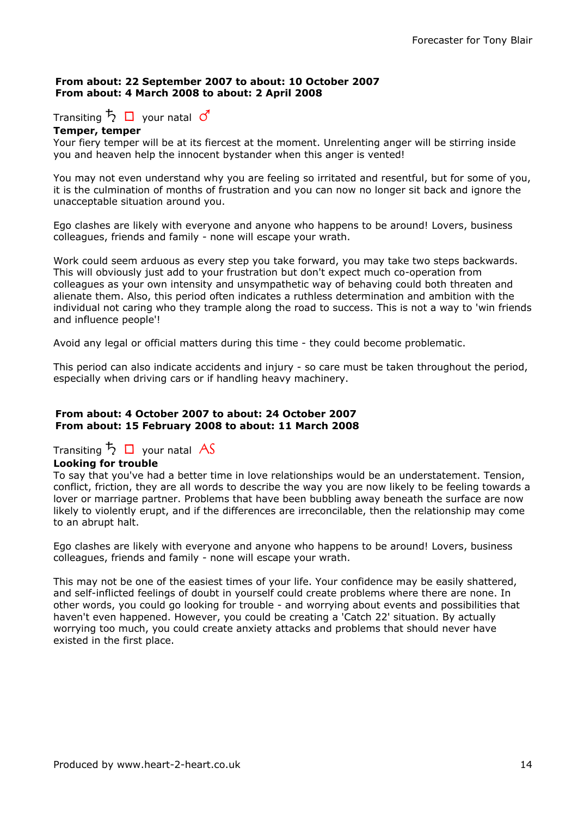#### From about: 22 September 2007 to about: 10 October 2007 From about: 4 March 2008 to about: 2 April 2008

# Transiting  $\overline{5}$   $\Box$  your natal  $\overline{0}$

#### Temper, temper

Your fiery temper will be at its fiercest at the moment. Unrelenting anger will be stirring inside you and heaven help the innocent bystander when this anger is vented!

You may not even understand why you are feeling so irritated and resentful, but for some of you, it is the culmination of months of frustration and you can now no longer sit back and ignore the unacceptable situation around you.

Ego clashes are likely with everyone and anyone who happens to be around! Lovers, business colleagues, friends and family - none will escape your wrath.

Work could seem arduous as every step you take forward, you may take two steps backwards. This will obviously just add to your frustration but don't expect much co-operation from colleagues as your own intensity and unsympathetic way of behaving could both threaten and alienate them. Also, this period often indicates a ruthless determination and ambition with the individual not caring who they trample along the road to success. This is not a way to 'win friends and influence people'!

Avoid any legal or official matters during this time - they could become problematic.

This period can also indicate accidents and injury - so care must be taken throughout the period, especially when driving cars or if handling heavy machinery.

#### From about: 4 October 2007 to about: 24 October 2007 From about: 15 February 2008 to about: 11 March 2008

# Transiting  $\frac{1}{2}$   $\Box$  your natal AS

## Looking for trouble

To say that you've had a better time in love relationships would be an understatement. Tension, conflict, friction, they are all words to describe the way you are now likely to be feeling towards a lover or marriage partner. Problems that have been bubbling away beneath the surface are now likely to violently erupt, and if the differences are irreconcilable, then the relationship may come to an abrupt halt.

Ego clashes are likely with everyone and anyone who happens to be around! Lovers, business colleagues, friends and family - none will escape your wrath.

This may not be one of the easiest times of your life. Your confidence may be easily shattered, and self-inflicted feelings of doubt in yourself could create problems where there are none. In other words, you could go looking for trouble - and worrying about events and possibilities that haven't even happened. However, you could be creating a 'Catch 22' situation. By actually worrying too much, you could create anxiety attacks and problems that should never have existed in the first place.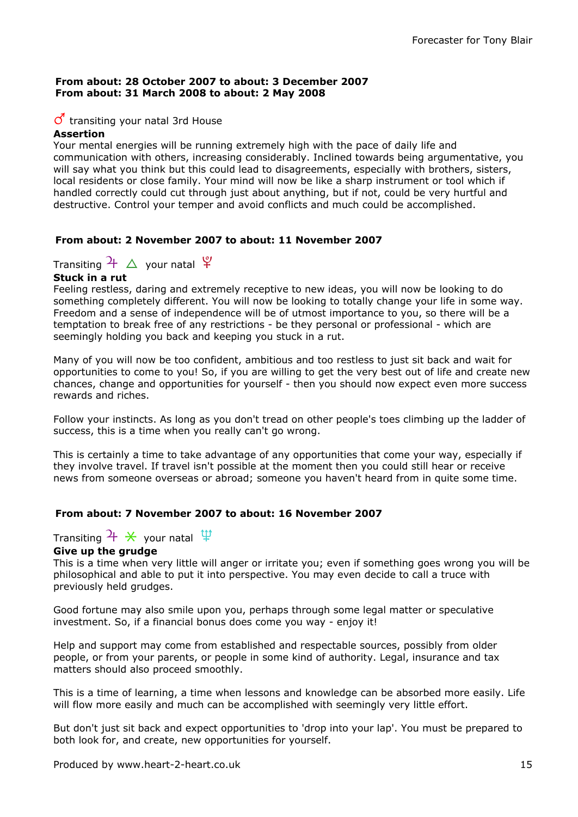#### From about: 28 October 2007 to about: 3 December 2007 From about: 31 March 2008 to about: 2 May 2008

## $\sigma$  transiting your natal 3rd House

#### Assertion

Your mental energies will be running extremely high with the pace of daily life and communication with others, increasing considerably. Inclined towards being argumentative, you will say what you think but this could lead to disagreements, especially with brothers, sisters, local residents or close family. Your mind will now be like a sharp instrument or tool which if handled correctly could cut through just about anything, but if not, could be very hurtful and destructive. Control your temper and avoid conflicts and much could be accomplished.

## From about: 2 November 2007 to about: 11 November 2007

Transiting  $\frac{1}{4}$   $\Delta$  your natal  $\frac{10}{4}$ 

#### Stuck in a rut

Feeling restless, daring and extremely receptive to new ideas, you will now be looking to do something completely different. You will now be looking to totally change your life in some way. Freedom and a sense of independence will be of utmost importance to you, so there will be a temptation to break free of any restrictions - be they personal or professional - which are seemingly holding you back and keeping you stuck in a rut.

Many of you will now be too confident, ambitious and too restless to just sit back and wait for opportunities to come to you! So, if you are willing to get the very best out of life and create new chances, change and opportunities for yourself - then you should now expect even more success rewards and riches.

Follow your instincts. As long as you don't tread on other people's toes climbing up the ladder of success, this is a time when you really can't go wrong.

This is certainly a time to take advantage of any opportunities that come your way, especially if they involve travel. If travel isn't possible at the moment then you could still hear or receive news from someone overseas or abroad; someone you haven't heard from in quite some time.

## From about: 7 November 2007 to about: 16 November 2007

Transiting  $\frac{1}{\mathcal{H}} \times$  your natal  $\frac{10}{\mathcal{H}}$ 

## Give up the grudge

This is a time when very little will anger or irritate you; even if something goes wrong you will be philosophical and able to put it into perspective. You may even decide to call a truce with previously held grudges.

Good fortune may also smile upon you, perhaps through some legal matter or speculative investment. So, if a financial bonus does come you way - enjoy it!

Help and support may come from established and respectable sources, possibly from older people, or from your parents, or people in some kind of authority. Legal, insurance and tax matters should also proceed smoothly.

This is a time of learning, a time when lessons and knowledge can be absorbed more easily. Life will flow more easily and much can be accomplished with seemingly very little effort.

But don't just sit back and expect opportunities to 'drop into your lap'. You must be prepared to both look for, and create, new opportunities for yourself.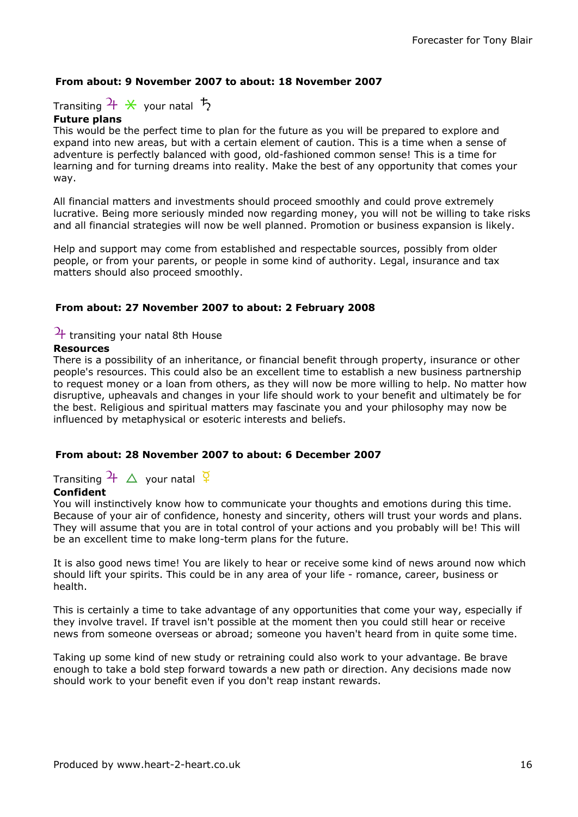## From about: 9 November 2007 to about: 18 November 2007

Transiting  $\frac{1}{\lambda}$  X your natal  $\frac{1}{\lambda}$ 

## Future plans

This would be the perfect time to plan for the future as you will be prepared to explore and expand into new areas, but with a certain element of caution. This is a time when a sense of adventure is perfectly balanced with good, old-fashioned common sense! This is a time for learning and for turning dreams into reality. Make the best of any opportunity that comes your way.

All financial matters and investments should proceed smoothly and could prove extremely lucrative. Being more seriously minded now regarding money, you will not be willing to take risks and all financial strategies will now be well planned. Promotion or business expansion is likely.

Help and support may come from established and respectable sources, possibly from older people, or from your parents, or people in some kind of authority. Legal, insurance and tax matters should also proceed smoothly.

#### From about: 27 November 2007 to about: 2 February 2008

# $\frac{1}{1}$  transiting your natal 8th House

#### Resources

There is a possibility of an inheritance, or financial benefit through property, insurance or other people's resources. This could also be an excellent time to establish a new business partnership to request money or a loan from others, as they will now be more willing to help. No matter how disruptive, upheavals and changes in your life should work to your benefit and ultimately be for the best. Religious and spiritual matters may fascinate you and your philosophy may now be influenced by metaphysical or esoteric interests and beliefs.

## From about: 28 November 2007 to about: 6 December 2007

Transiting  $\frac{1}{4}$   $\Delta$  your natal  $\frac{1}{4}$ 

#### Confident

You will instinctively know how to communicate your thoughts and emotions during this time. Because of your air of confidence, honesty and sincerity, others will trust your words and plans. They will assume that you are in total control of your actions and you probably will be! This will be an excellent time to make long-term plans for the future.

It is also good news time! You are likely to hear or receive some kind of news around now which should lift your spirits. This could be in any area of your life - romance, career, business or health.

This is certainly a time to take advantage of any opportunities that come your way, especially if they involve travel. If travel isn't possible at the moment then you could still hear or receive news from someone overseas or abroad; someone you haven't heard from in quite some time.

Taking up some kind of new study or retraining could also work to your advantage. Be brave enough to take a bold step forward towards a new path or direction. Any decisions made now should work to your benefit even if you don't reap instant rewards.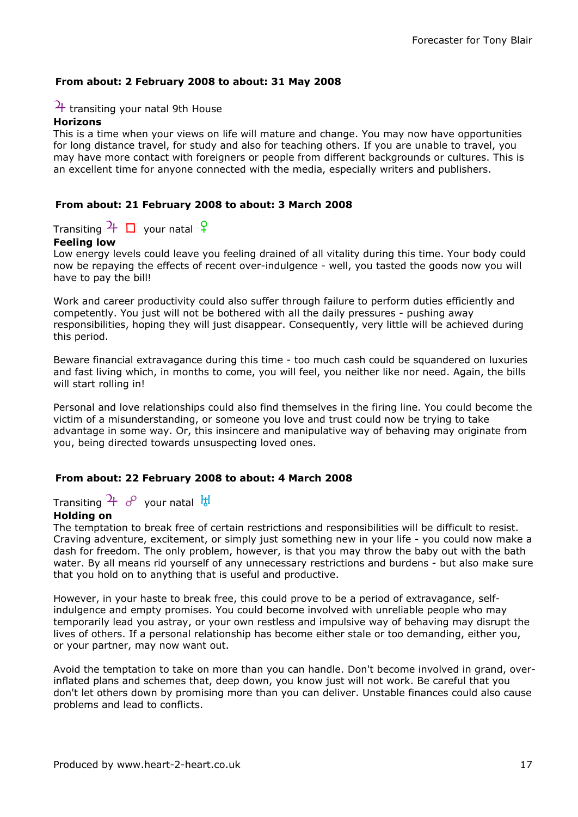## From about: 2 February 2008 to about: 31 May 2008

## $\frac{1}{1}$  transiting your natal 9th House

#### Horizons

This is a time when your views on life will mature and change. You may now have opportunities for long distance travel, for study and also for teaching others. If you are unable to travel, you may have more contact with foreigners or people from different backgrounds or cultures. This is an excellent time for anyone connected with the media, especially writers and publishers.

#### From about: 21 February 2008 to about: 3 March 2008

Transiting  $\frac{1}{1}$   $\Box$  your natal  $\frac{1}{1}$ 

## Feeling low

Low energy levels could leave you feeling drained of all vitality during this time. Your body could now be repaying the effects of recent over-indulgence - well, you tasted the goods now you will have to pay the bill!

Work and career productivity could also suffer through failure to perform duties efficiently and competently. You just will not be bothered with all the daily pressures - pushing away responsibilities, hoping they will just disappear. Consequently, very little will be achieved during this period.

Beware financial extravagance during this time - too much cash could be squandered on luxuries and fast living which, in months to come, you will feel, you neither like nor need. Again, the bills will start rolling in!

Personal and love relationships could also find themselves in the firing line. You could become the victim of a misunderstanding, or someone you love and trust could now be trying to take advantage in some way. Or, this insincere and manipulative way of behaving may originate from you, being directed towards unsuspecting loved ones.

#### From about: 22 February 2008 to about: 4 March 2008

Transiting  $\frac{1}{10}$   $\sigma$  your natal  $\frac{11}{10}$ 

## Holding on

The temptation to break free of certain restrictions and responsibilities will be difficult to resist. Craving adventure, excitement, or simply just something new in your life - you could now make a dash for freedom. The only problem, however, is that you may throw the baby out with the bath water. By all means rid yourself of any unnecessary restrictions and burdens - but also make sure that you hold on to anything that is useful and productive.

However, in your haste to break free, this could prove to be a period of extravagance, selfindulgence and empty promises. You could become involved with unreliable people who may temporarily lead you astray, or your own restless and impulsive way of behaving may disrupt the lives of others. If a personal relationship has become either stale or too demanding, either you, or your partner, may now want out.

Avoid the temptation to take on more than you can handle. Don't become involved in grand, overinflated plans and schemes that, deep down, you know just will not work. Be careful that you don't let others down by promising more than you can deliver. Unstable finances could also cause problems and lead to conflicts.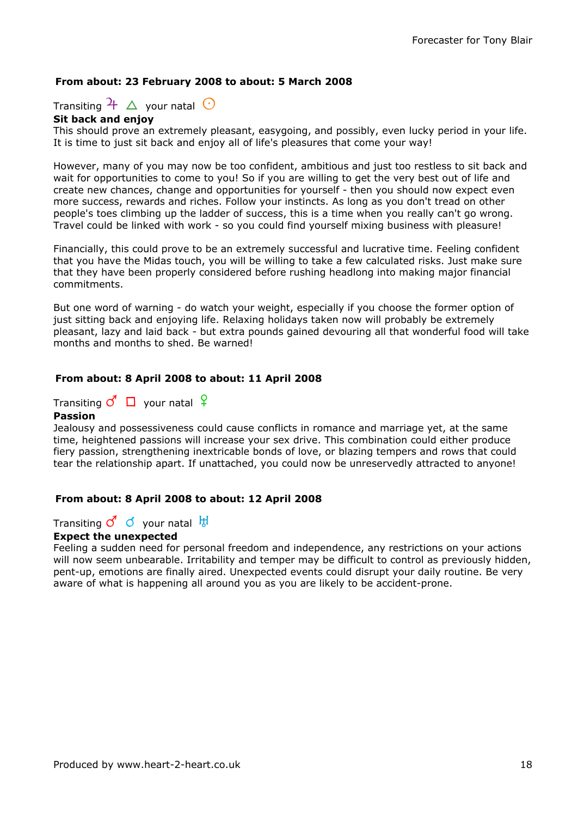## From about: 23 February 2008 to about: 5 March 2008

Transiting  $\frac{1}{2}$   $\Delta$  your natal  $\odot$ 

#### Sit back and enjoy

This should prove an extremely pleasant, easygoing, and possibly, even lucky period in your life. It is time to just sit back and enjoy all of life's pleasures that come your way!

However, many of you may now be too confident, ambitious and just too restless to sit back and wait for opportunities to come to you! So if you are willing to get the very best out of life and create new chances, change and opportunities for yourself - then you should now expect even more success, rewards and riches. Follow your instincts. As long as you don't tread on other people's toes climbing up the ladder of success, this is a time when you really can't go wrong. Travel could be linked with work - so you could find yourself mixing business with pleasure!

Financially, this could prove to be an extremely successful and lucrative time. Feeling confident that you have the Midas touch, you will be willing to take a few calculated risks. Just make sure that they have been properly considered before rushing headlong into making major financial commitments.

But one word of warning - do watch your weight, especially if you choose the former option of just sitting back and enjoying life. Relaxing holidays taken now will probably be extremely pleasant, lazy and laid back - but extra pounds gained devouring all that wonderful food will take months and months to shed. Be warned!

#### From about: 8 April 2008 to about: 11 April 2008

Transiting  $\vec{C}$   $\Box$  your natal  $\varphi$ Passion

Jealousy and possessiveness could cause conflicts in romance and marriage yet, at the same time, heightened passions will increase your sex drive. This combination could either produce fiery passion, strengthening inextricable bonds of love, or blazing tempers and rows that could tear the relationship apart. If unattached, you could now be unreservedly attracted to anyone!

## From about: 8 April 2008 to about: 12 April 2008

Transiting  $\vec{C}$   $\vec{O}$  your natal  $\frac{11}{64}$ 

#### Expect the unexpected

Feeling a sudden need for personal freedom and independence, any restrictions on your actions will now seem unbearable. Irritability and temper may be difficult to control as previously hidden, pent-up, emotions are finally aired. Unexpected events could disrupt your daily routine. Be very aware of what is happening all around you as you are likely to be accident-prone.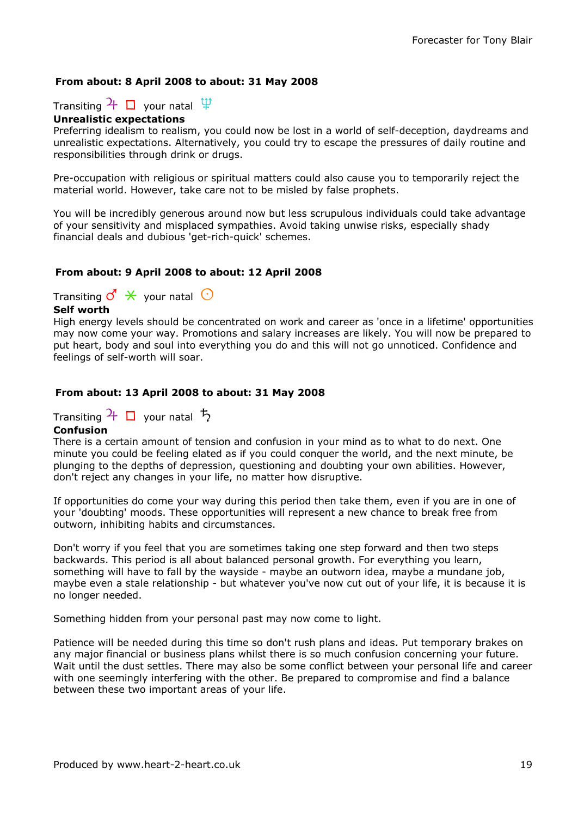## From about: 8 April 2008 to about: 31 May 2008

Transiting  $\frac{1}{\sqrt{1}}$  your natal  $\frac{10}{\sqrt{1}}$ 

#### Unrealistic expectations

Preferring idealism to realism, you could now be lost in a world of self-deception, daydreams and unrealistic expectations. Alternatively, you could try to escape the pressures of daily routine and responsibilities through drink or drugs.

Pre-occupation with religious or spiritual matters could also cause you to temporarily reject the material world. However, take care not to be misled by false prophets.

You will be incredibly generous around now but less scrupulous individuals could take advantage of your sensitivity and misplaced sympathies. Avoid taking unwise risks, especially shady financial deals and dubious 'get-rich-quick' schemes.

#### From about: 9 April 2008 to about: 12 April 2008

Transiting  $\mathcal{O}' \times$  your natal  $\odot$ 

## Self worth

High energy levels should be concentrated on work and career as 'once in a lifetime' opportunities may now come your way. Promotions and salary increases are likely. You will now be prepared to put heart, body and soul into everything you do and this will not go unnoticed. Confidence and feelings of self-worth will soar.

## From about: 13 April 2008 to about: 31 May 2008

## Transiting  $\frac{1}{\sqrt{1}}$  your natal  $\frac{1}{\sqrt{2}}$

## **Confusion**

There is a certain amount of tension and confusion in your mind as to what to do next. One minute you could be feeling elated as if you could conquer the world, and the next minute, be plunging to the depths of depression, questioning and doubting your own abilities. However, don't reject any changes in your life, no matter how disruptive.

If opportunities do come your way during this period then take them, even if you are in one of your 'doubting' moods. These opportunities will represent a new chance to break free from outworn, inhibiting habits and circumstances.

Don't worry if you feel that you are sometimes taking one step forward and then two steps backwards. This period is all about balanced personal growth. For everything you learn, something will have to fall by the wayside - maybe an outworn idea, maybe a mundane job, maybe even a stale relationship - but whatever you've now cut out of your life, it is because it is no longer needed.

Something hidden from your personal past may now come to light.

Patience will be needed during this time so don't rush plans and ideas. Put temporary brakes on any major financial or business plans whilst there is so much confusion concerning your future. Wait until the dust settles. There may also be some conflict between your personal life and career with one seemingly interfering with the other. Be prepared to compromise and find a balance between these two important areas of your life.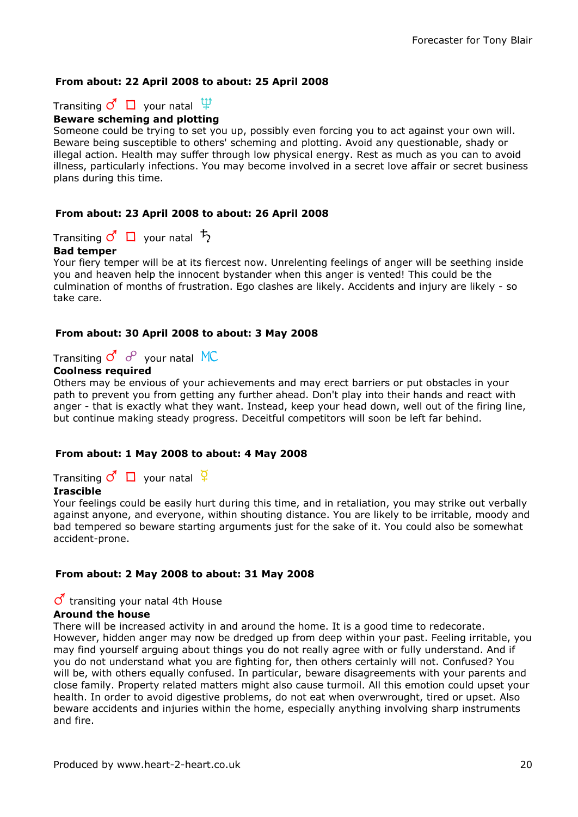## From about: 22 April 2008 to about: 25 April 2008

Transiting  $\vec{C}$   $\Box$  your natal  $\ddot{\Psi}$ 

## Beware scheming and plotting

Someone could be trying to set you up, possibly even forcing you to act against your own will. Beware being susceptible to others' scheming and plotting. Avoid any questionable, shady or illegal action. Health may suffer through low physical energy. Rest as much as you can to avoid illness, particularly infections. You may become involved in a secret love affair or secret business plans during this time.

## From about: 23 April 2008 to about: 26 April 2008

Transiting  $\vec{c}$   $\Box$  your natal  $\vec{b}$ 

## Bad temper

Your fiery temper will be at its fiercest now. Unrelenting feelings of anger will be seething inside you and heaven help the innocent bystander when this anger is vented! This could be the culmination of months of frustration. Ego clashes are likely. Accidents and injury are likely - so take care.

## From about: 30 April 2008 to about: 3 May 2008

Transiting  $\sigma^4 \, \sigma^8$  your natal MC

#### Coolness required

Others may be envious of your achievements and may erect barriers or put obstacles in your path to prevent you from getting any further ahead. Don't play into their hands and react with anger - that is exactly what they want. Instead, keep your head down, well out of the firing line, but continue making steady progress. Deceitful competitors will soon be left far behind.

## From about: 1 May 2008 to about: 4 May 2008

Transiting  $\mathcal{O} \square$  your natal  $\frac{Q}{4}$ 

## Irascible

Your feelings could be easily hurt during this time, and in retaliation, you may strike out verbally against anyone, and everyone, within shouting distance. You are likely to be irritable, moody and bad tempered so beware starting arguments just for the sake of it. You could also be somewhat accident-prone.

## From about: 2 May 2008 to about: 31 May 2008

#### $\sigma$  transiting your natal 4th House

#### Around the house

There will be increased activity in and around the home. It is a good time to redecorate. However, hidden anger may now be dredged up from deep within your past. Feeling irritable, you may find yourself arguing about things you do not really agree with or fully understand. And if you do not understand what you are fighting for, then others certainly will not. Confused? You will be, with others equally confused. In particular, beware disagreements with your parents and close family. Property related matters might also cause turmoil. All this emotion could upset your health. In order to avoid digestive problems, do not eat when overwrought, tired or upset. Also beware accidents and injuries within the home, especially anything involving sharp instruments and fire.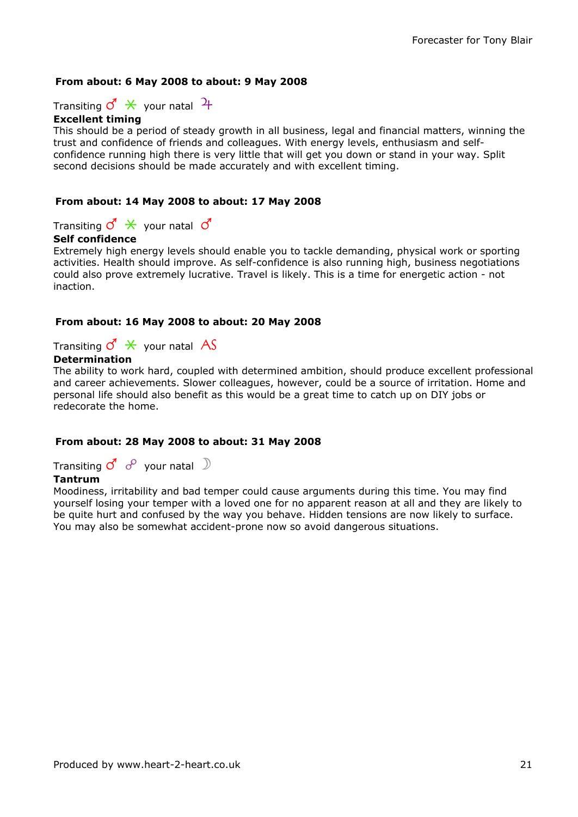## From about: 6 May 2008 to about: 9 May 2008

Transiting  $\mathcal{O}' \times$  your natal  $\mathcal{H}$ 

## Excellent timing

This should be a period of steady growth in all business, legal and financial matters, winning the trust and confidence of friends and colleagues. With energy levels, enthusiasm and selfconfidence running high there is very little that will get you down or stand in your way. Split second decisions should be made accurately and with excellent timing.

## From about: 14 May 2008 to about: 17 May 2008

Transiting  $\vec{C} \times \vec{C}$  your natal  $\vec{C}$ 

## Self confidence

Extremely high energy levels should enable you to tackle demanding, physical work or sporting activities. Health should improve. As self-confidence is also running high, business negotiations could also prove extremely lucrative. Travel is likely. This is a time for energetic action - not inaction.

#### From about: 16 May 2008 to about: 20 May 2008

Transiting  $\vec{S} \times$  your natal AS

## **Determination**

The ability to work hard, coupled with determined ambition, should produce excellent professional and career achievements. Slower colleagues, however, could be a source of irritation. Home and personal life should also benefit as this would be a great time to catch up on DIY jobs or redecorate the home.

## From about: 28 May 2008 to about: 31 May 2008

Transiting  $\vec{c}$  o<sup>o</sup> your natal  $\Box$ 

## Tantrum

Moodiness, irritability and bad temper could cause arguments during this time. You may find yourself losing your temper with a loved one for no apparent reason at all and they are likely to be quite hurt and confused by the way you behave. Hidden tensions are now likely to surface. You may also be somewhat accident-prone now so avoid dangerous situations.